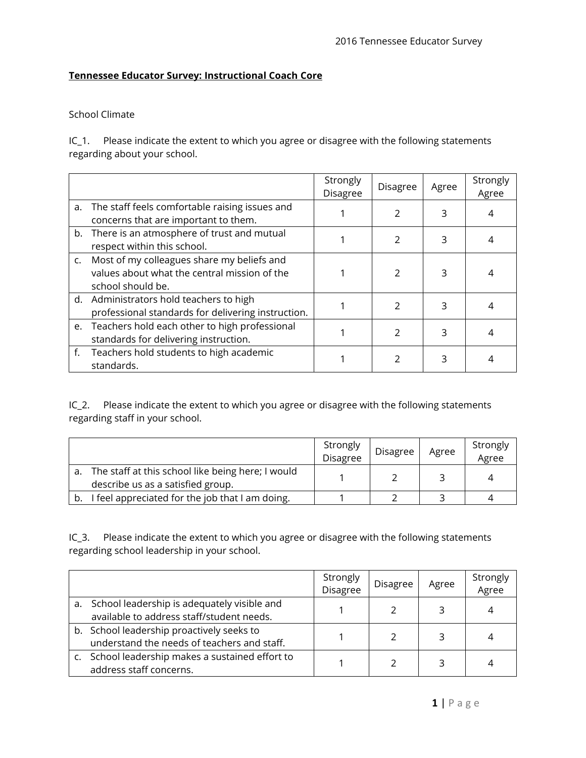## **Tennessee Educator Survey: Instructional Coach Core**

## School Climate

IC\_1. Please indicate the extent to which you agree or disagree with the following statements regarding about your school.

|    |                                                                                                                    | Strongly<br><b>Disagree</b> | Disagree       | Agree | Strongly<br>Agree |
|----|--------------------------------------------------------------------------------------------------------------------|-----------------------------|----------------|-------|-------------------|
| a. | The staff feels comfortable raising issues and<br>concerns that are important to them.                             |                             |                | 3     |                   |
|    | b. There is an atmosphere of trust and mutual<br>respect within this school.                                       |                             | 2              | 3     |                   |
|    | c. Most of my colleagues share my beliefs and<br>values about what the central mission of the<br>school should be. |                             | $\mathcal{P}$  | 3     |                   |
|    | d. Administrators hold teachers to high<br>professional standards for delivering instruction.                      |                             | $\mathfrak{D}$ | ς     |                   |
|    | e. Teachers hold each other to high professional<br>standards for delivering instruction.                          |                             | $\mathfrak{D}$ | 3     |                   |
|    | f. Teachers hold students to high academic<br>standards.                                                           |                             | <sup>2</sup>   | 3     |                   |

IC\_2. Please indicate the extent to which you agree or disagree with the following statements regarding staff in your school.

|                                                                                        | Strongly<br>Disagree | <b>Disagree</b> | Agree | Strongly<br>Agree |
|----------------------------------------------------------------------------------------|----------------------|-----------------|-------|-------------------|
| The staff at this school like being here; I would<br>describe us as a satisfied group. |                      |                 |       | Δ                 |
| I feel appreciated for the job that I am doing.                                        |                      |                 |       |                   |

IC\_3. Please indicate the extent to which you agree or disagree with the following statements regarding school leadership in your school.

|                                                                                             | Strongly<br>Disagree | <b>Disagree</b> | Agree | Strongly<br>Agree |
|---------------------------------------------------------------------------------------------|----------------------|-----------------|-------|-------------------|
| a. School leadership is adequately visible and<br>available to address staff/student needs. |                      |                 | 3     |                   |
| b. School leadership proactively seeks to<br>understand the needs of teachers and staff.    |                      |                 | 3     |                   |
| c. School leadership makes a sustained effort to<br>address staff concerns.                 |                      |                 |       |                   |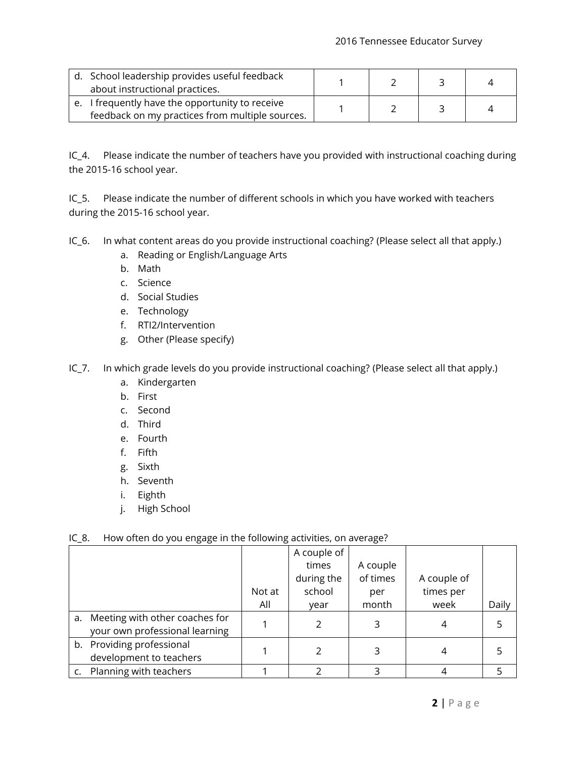| d. School leadership provides useful feedback<br>about instructional practices.                    |  |  |
|----------------------------------------------------------------------------------------------------|--|--|
| e. I frequently have the opportunity to receive<br>feedback on my practices from multiple sources. |  |  |

IC\_4. Please indicate the number of teachers have you provided with instructional coaching during the 2015-16 school year.

IC\_5. Please indicate the number of different schools in which you have worked with teachers during the 2015-16 school year.

IC\_6. In what content areas do you provide instructional coaching? (Please select all that apply.)

- a. Reading or English/Language Arts
- b. Math
- c. Science
- d. Social Studies
- e. Technology
- f. RTI2/Intervention
- g. Other (Please specify)
- IC\_7. In which grade levels do you provide instructional coaching? (Please select all that apply.)
	- a. Kindergarten
	- b. First
	- c. Second
	- d. Third
	- e. Fourth
	- f. Fifth
	- g. Sixth
	- h. Seventh
	- i. Eighth
	- j. High School

## IC\_8. How often do you engage in the following activities, on average?

|                                                                     |        | A couple of |          |             |       |
|---------------------------------------------------------------------|--------|-------------|----------|-------------|-------|
|                                                                     |        | times       | A couple |             |       |
|                                                                     |        | during the  | of times | A couple of |       |
|                                                                     | Not at | school      | per      | times per   |       |
|                                                                     | All    | year        | month    | week        | Daily |
| a. Meeting with other coaches for<br>your own professional learning |        |             | 3        |             |       |
| b. Providing professional<br>development to teachers                |        |             |          |             |       |
| Planning with teachers                                              |        |             |          |             |       |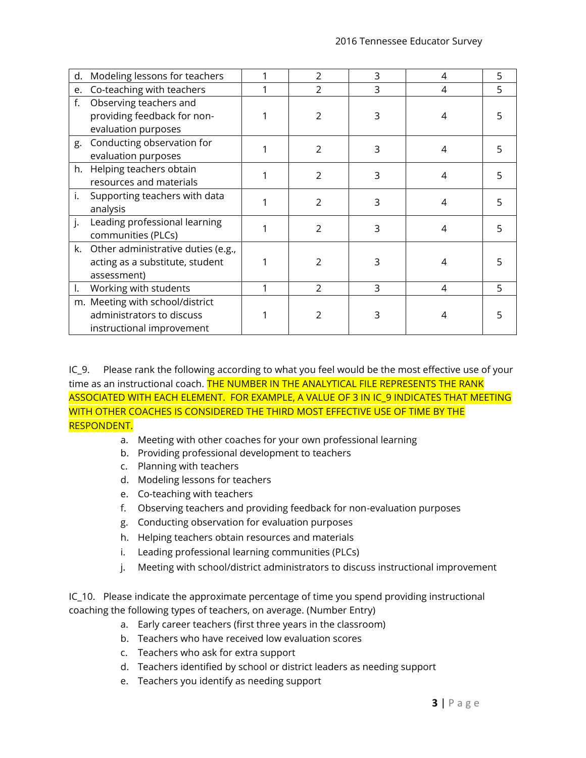| d. | Modeling lessons for teachers         | 2             | 3 | 4 | 5 |
|----|---------------------------------------|---------------|---|---|---|
| e. | Co-teaching with teachers             | 2             | 3 | 4 | 5 |
| f. | Observing teachers and                |               |   |   |   |
|    | providing feedback for non-           | 2             | 3 |   |   |
|    | evaluation purposes                   |               |   |   |   |
| g. | Conducting observation for            | 2             | 3 | 4 |   |
|    | evaluation purposes                   |               |   |   |   |
|    | h. Helping teachers obtain            | $\mathcal{P}$ | 3 | 4 | 5 |
|    | resources and materials               |               |   |   |   |
| i. | Supporting teachers with data         | $\mathcal{P}$ | 3 | 4 |   |
|    | analysis                              |               |   |   |   |
| j. | Leading professional learning         | $\mathcal{P}$ | 3 | 4 |   |
|    | communities (PLCs)                    |               |   |   |   |
|    | k. Other administrative duties (e.g., |               |   |   |   |
|    | acting as a substitute, student       | 2             | 3 |   |   |
|    | assessment)                           |               |   |   |   |
| ı. | Working with students                 | $\mathcal{P}$ | 3 | 4 | 5 |
|    | m. Meeting with school/district       |               |   |   |   |
|    | administrators to discuss             |               | 3 |   |   |
|    | instructional improvement             |               |   |   |   |

IC 9. Please rank the following according to what you feel would be the most effective use of your time as an instructional coach. THE NUMBER IN THE ANALYTICAL FILE REPRESENTS THE RANK ASSOCIATED WITH EACH ELEMENT. FOR EXAMPLE, A VALUE OF 3 IN IC\_9 INDICATES THAT MEETING WITH OTHER COACHES IS CONSIDERED THE THIRD MOST EFFECTIVE USE OF TIME BY THE RESPONDENT.

- a. Meeting with other coaches for your own professional learning
- b. Providing professional development to teachers
- c. Planning with teachers
- d. Modeling lessons for teachers
- e. Co-teaching with teachers
- f. Observing teachers and providing feedback for non-evaluation purposes
- g. Conducting observation for evaluation purposes
- h. Helping teachers obtain resources and materials
- i. Leading professional learning communities (PLCs)
- j. Meeting with school/district administrators to discuss instructional improvement

IC\_10. Please indicate the approximate percentage of time you spend providing instructional coaching the following types of teachers, on average. (Number Entry)

- a. Early career teachers (first three years in the classroom)
- b. Teachers who have received low evaluation scores
- c. Teachers who ask for extra support
- d. Teachers identified by school or district leaders as needing support
- e. Teachers you identify as needing support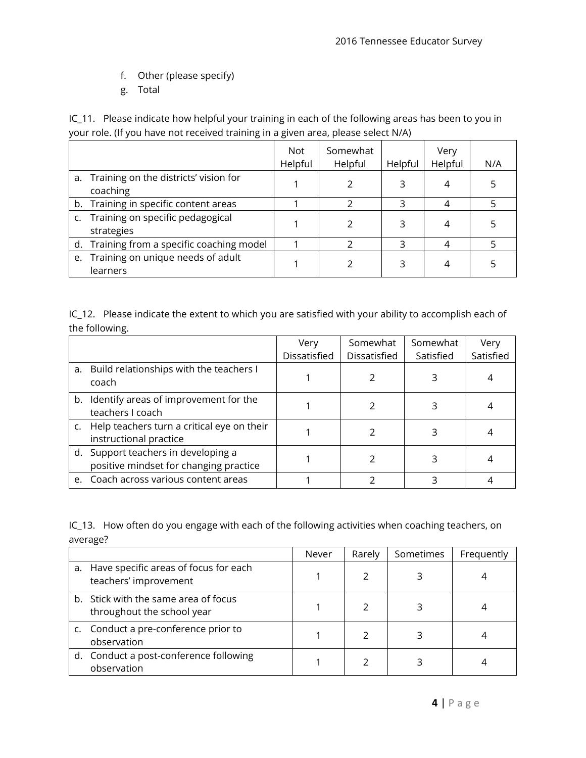- f. Other (please specify)
- g. Total

IC\_11. Please indicate how helpful your training in each of the following areas has been to you in your role. (If you have not received training in a given area, please select N/A)

|                                                      | <b>Not</b><br>Helpful | Somewhat<br>Helpful | Helpful | Very<br>Helpful | N/A |
|------------------------------------------------------|-----------------------|---------------------|---------|-----------------|-----|
| a. Training on the districts' vision for<br>coaching |                       |                     | 3       | 4               |     |
| b. Training in specific content areas                |                       |                     | 3       |                 |     |
| c. Training on specific pedagogical<br>strategies    |                       |                     | ς       | 4               |     |
| d. Training from a specific coaching model           |                       |                     | ς       |                 |     |
| e. Training on unique needs of adult<br>learners     |                       |                     | ς       |                 |     |

IC\_12. Please indicate the extent to which you are satisfied with your ability to accomplish each of the following.

|                                                                               | Very         | Somewhat     | Somewhat  | Very      |
|-------------------------------------------------------------------------------|--------------|--------------|-----------|-----------|
|                                                                               | Dissatisfied | Dissatisfied | Satisfied | Satisfied |
| a. Build relationships with the teachers I<br>coach                           |              |              |           |           |
| b. Identify areas of improvement for the<br>teachers I coach                  |              |              |           |           |
| c. Help teachers turn a critical eye on their<br>instructional practice       |              |              |           |           |
| d. Support teachers in developing a<br>positive mindset for changing practice |              |              |           |           |
| e. Coach across various content areas                                         |              |              |           |           |

IC\_13. How often do you engage with each of the following activities when coaching teachers, on average?

|                                                                    | Never | Rarely | Sometimes | Frequently |
|--------------------------------------------------------------------|-------|--------|-----------|------------|
| a. Have specific areas of focus for each<br>teachers' improvement  |       |        |           |            |
| b. Stick with the same area of focus<br>throughout the school year |       |        |           |            |
| c. Conduct a pre-conference prior to<br>observation                |       |        |           |            |
| d. Conduct a post-conference following<br>observation              |       |        |           |            |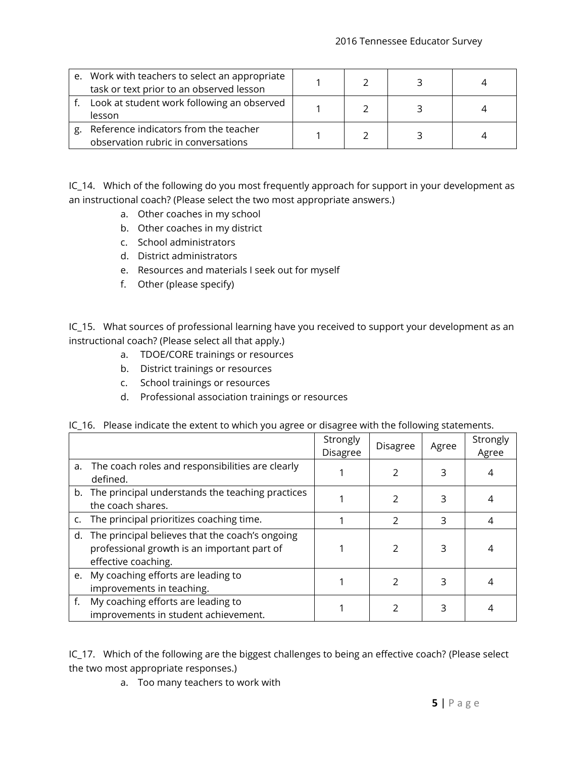|    | e. Work with teachers to select an appropriate<br>task or text prior to an observed lesson |  |  |
|----|--------------------------------------------------------------------------------------------|--|--|
|    | Look at student work following an observed<br>lesson                                       |  |  |
| g. | Reference indicators from the teacher<br>observation rubric in conversations               |  |  |

IC\_14. Which of the following do you most frequently approach for support in your development as an instructional coach? (Please select the two most appropriate answers.)

- a. Other coaches in my school
- b. Other coaches in my district
- c. School administrators
- d. District administrators
- e. Resources and materials I seek out for myself
- f. Other (please specify)

IC\_15. What sources of professional learning have you received to support your development as an instructional coach? (Please select all that apply.)

- a. TDOE/CORE trainings or resources
- b. District trainings or resources
- c. School trainings or resources
- d. Professional association trainings or resources

|    |                                                                                                                          | Strongly<br><b>Disagree</b> | Disagree       | Agree | Strongly<br>Agree |
|----|--------------------------------------------------------------------------------------------------------------------------|-----------------------------|----------------|-------|-------------------|
| a. | The coach roles and responsibilities are clearly<br>defined.                                                             |                             |                | 3     |                   |
|    | b. The principal understands the teaching practices<br>the coach shares.                                                 |                             | $\mathcal{P}$  | 3     |                   |
|    | c. The principal prioritizes coaching time.                                                                              |                             | $\mathfrak{D}$ | 3     | 4                 |
|    | d. The principal believes that the coach's ongoing<br>professional growth is an important part of<br>effective coaching. |                             | $\mathcal{P}$  | 3     |                   |
|    | e. My coaching efforts are leading to<br>improvements in teaching.                                                       |                             | 2              | 3     |                   |
|    | My coaching efforts are leading to<br>improvements in student achievement.                                               |                             |                | 3     |                   |

|  | IC_16. Please indicate the extent to which you agree or disagree with the following statements. |  |  |  |
|--|-------------------------------------------------------------------------------------------------|--|--|--|
|--|-------------------------------------------------------------------------------------------------|--|--|--|

IC\_17. Which of the following are the biggest challenges to being an effective coach? (Please select the two most appropriate responses.)

a. Too many teachers to work with